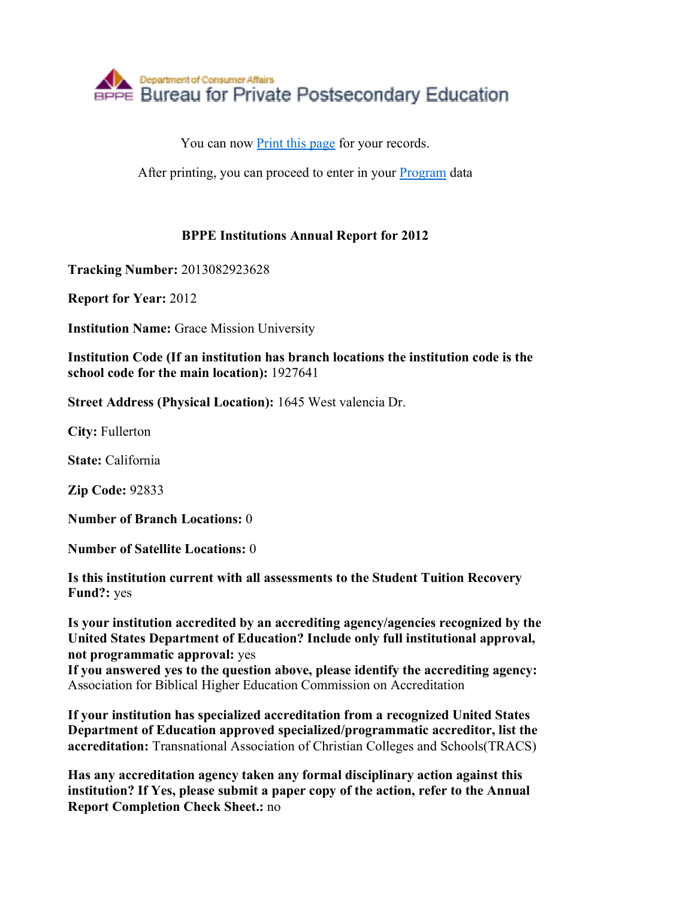

You can now **Print this page** for your records.

After printing, you can proceed to enter in your Program data

## **BPPE Institutions Annual Report for 2012**

**Tracking Number:** 2013082923628

**Report for Year:** 2012

**Institution Name:** Grace Mission University

**Institution Code (If an institution has branch locations the institution code is the school code for the main location):** 1927641

**Street Address (Physical Location):** 1645 West valencia Dr.

**City:** Fullerton

**State:** California

**Zip Code:** 92833

**Number of Branch Locations:** 0

**Number of Satellite Locations:** 0

**Is this institution current with all assessments to the Student Tuition Recovery Fund?:** yes

**Is your institution accredited by an accrediting agency/agencies recognized by the United States Department of Education? Include only full institutional approval, not programmatic approval:** yes

**If you answered yes to the question above, please identify the accrediting agency:** Association for Biblical Higher Education Commission on Accreditation

**If your institution has specialized accreditation from a recognized United States Department of Education approved specialized/programmatic accreditor, list the accreditation:** Transnational Association of Christian Colleges and Schools(TRACS)

**Has any accreditation agency taken any formal disciplinary action against this institution? If Yes, please submit a paper copy of the action, refer to the Annual Report Completion Check Sheet.:** no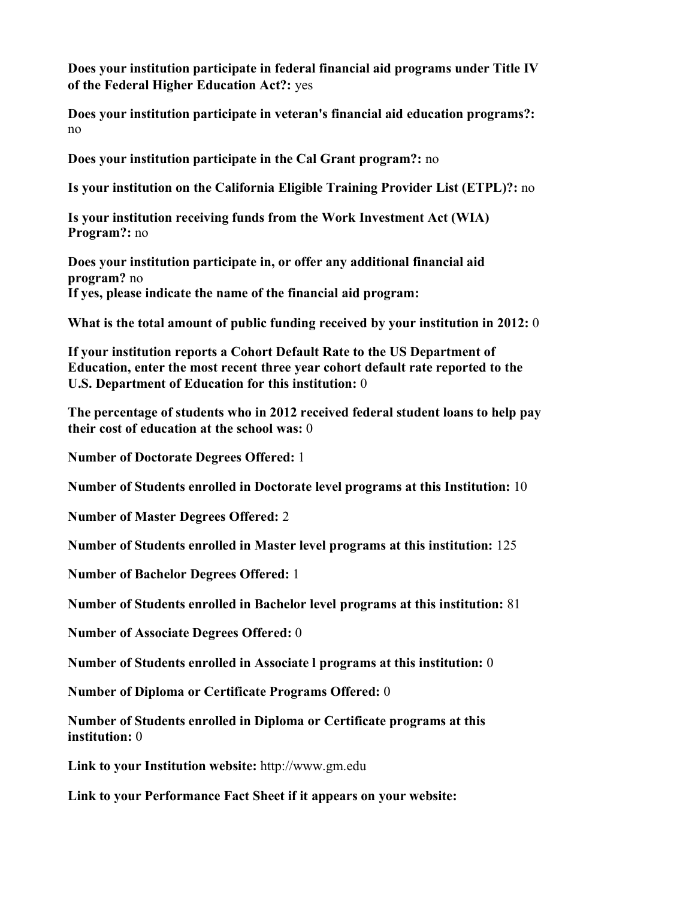**Does your institution participate in federal financial aid programs under Title IV of the Federal Higher Education Act?:** yes

**Does your institution participate in veteran's financial aid education programs?:** no

**Does your institution participate in the Cal Grant program?:** no

**Is your institution on the California Eligible Training Provider List (ETPL)?:** no

**Is your institution receiving funds from the Work Investment Act (WIA) Program?:** no

**Does your institution participate in, or offer any additional financial aid program?** no **If yes, please indicate the name of the financial aid program:**

**What is the total amount of public funding received by your institution in 2012:** 0

**If your institution reports a Cohort Default Rate to the US Department of Education, enter the most recent three year cohort default rate reported to the U.S. Department of Education for this institution:** 0

**The percentage of students who in 2012 received federal student loans to help pay their cost of education at the school was:** 0

**Number of Doctorate Degrees Offered:** 1

**Number of Students enrolled in Doctorate level programs at this Institution:** 10

**Number of Master Degrees Offered:** 2

**Number of Students enrolled in Master level programs at this institution:** 125

**Number of Bachelor Degrees Offered:** 1

**Number of Students enrolled in Bachelor level programs at this institution:** 81

**Number of Associate Degrees Offered:** 0

**Number of Students enrolled in Associate l programs at this institution:** 0

**Number of Diploma or Certificate Programs Offered:** 0

**Number of Students enrolled in Diploma or Certificate programs at this institution:** 0

**Link to your Institution website:** http://www.gm.edu

**Link to your Performance Fact Sheet if it appears on your website:**